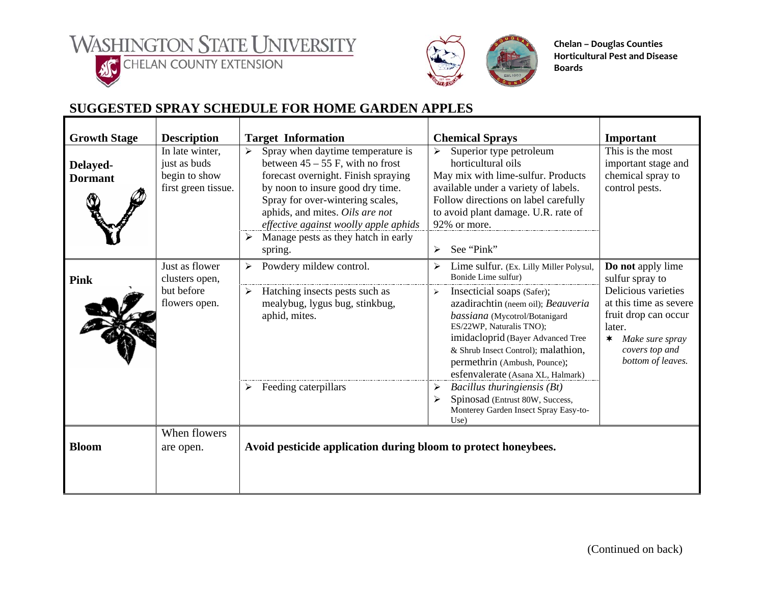**WASHINGTON STATE UNIVERSITY** 



**ACCHELAN COUNTY EXTENSION** 



**Chelan – Douglas Counties Horticultural Pest and Disease Boards**

## **SUGGESTED SPRAY SCHEDULE FOR HOME GARDEN APPLES**

| <b>Growth Stage</b>        | <b>Description</b>                                                      | <b>Target Information</b>                                                                                                                                                                                                                                                                                                 | <b>Chemical Sprays</b>                                                                                                                                                                                                                                                                                                                                                    | Important                                                                                                                                                                                   |  |  |
|----------------------------|-------------------------------------------------------------------------|---------------------------------------------------------------------------------------------------------------------------------------------------------------------------------------------------------------------------------------------------------------------------------------------------------------------------|---------------------------------------------------------------------------------------------------------------------------------------------------------------------------------------------------------------------------------------------------------------------------------------------------------------------------------------------------------------------------|---------------------------------------------------------------------------------------------------------------------------------------------------------------------------------------------|--|--|
| Delayed-<br><b>Dormant</b> | In late winter,<br>just as buds<br>begin to show<br>first green tissue. | Spray when daytime temperature is<br>↘<br>between $45 - 55$ F, with no frost<br>forecast overnight. Finish spraying<br>by noon to insure good dry time.<br>Spray for over-wintering scales,<br>aphids, and mites. Oils are not<br>effective against woolly apple aphids<br>Manage pests as they hatch in early<br>spring. | Superior type petroleum<br>horticultural oils<br>May mix with lime-sulfur. Products<br>available under a variety of labels.<br>Follow directions on label carefully<br>to avoid plant damage. U.R. rate of<br>92% or more.<br>See "Pink"<br>$\blacktriangleright$                                                                                                         | This is the most<br>important stage and<br>chemical spray to<br>control pests.                                                                                                              |  |  |
| <b>Pink</b>                | Just as flower<br>clusters open,<br>but before<br>flowers open.         | Powdery mildew control.<br>Hatching insects pests such as<br>➤<br>mealybug, lygus bug, stinkbug,<br>aphid, mites.                                                                                                                                                                                                         | Lime sulfur. (Ex. Lilly Miller Polysul,<br>Bonide Lime sulfur)<br>$\blacktriangleright$<br>Insecticial soaps (Safer);<br>azadirachtin (neem oil); Beauveria<br>bassiana (Mycotrol/Botanigard<br>ES/22WP, Naturalis TNO);<br>imidacloprid (Bayer Advanced Tree<br>& Shrub Insect Control); malathion,<br>permethrin (Ambush, Pounce);<br>esfenvalerate (Asana XL, Halmark) | Do not apply lime<br>sulfur spray to<br>Delicious varieties<br>at this time as severe<br>fruit drop can occur<br>later.<br>Make sure spray<br>$\ast$<br>covers top and<br>bottom of leaves. |  |  |
|                            |                                                                         | Feeding caterpillars                                                                                                                                                                                                                                                                                                      | Bacillus thuringiensis (Bt)<br>≻<br>Spinosad (Entrust 80W, Success,<br>⋗<br>Monterey Garden Insect Spray Easy-to-<br>Use)                                                                                                                                                                                                                                                 |                                                                                                                                                                                             |  |  |
| <b>Bloom</b>               | When flowers<br>are open.                                               | Avoid pesticide application during bloom to protect honeybees.                                                                                                                                                                                                                                                            |                                                                                                                                                                                                                                                                                                                                                                           |                                                                                                                                                                                             |  |  |